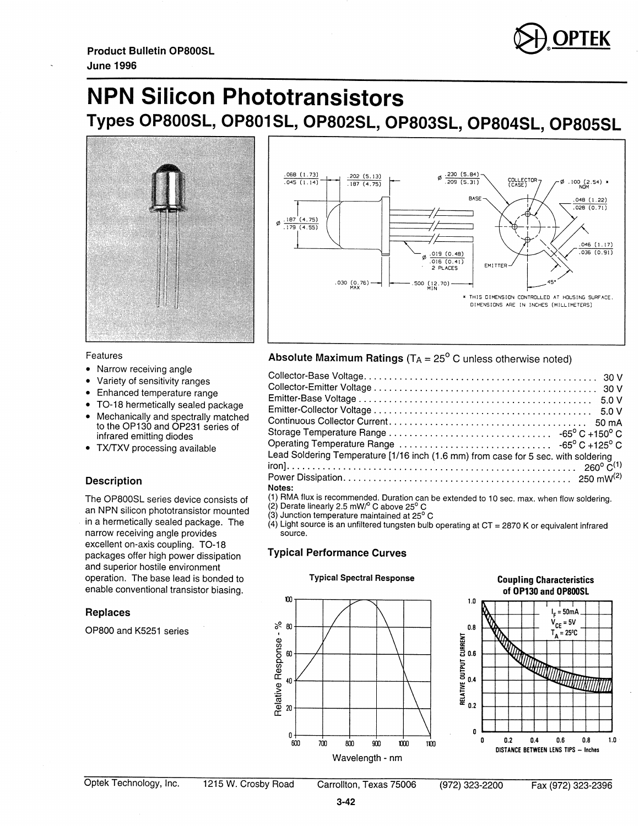

# **NPN Silicon Phototransistors** Types OP800SL, OP801SL, OP802SL, OP803SL, OP804SL, OP805SL



### Features

- Narrow receiving angle
- Variety of sensitivity ranges
- Enhanced temperature range
- TO-18 hermetically sealed package
- Mechanically and spectrally matched to the OP130 and OP231 series of infrared emitting diodes
- TX/TXV processing available

## **Description**

The OP800SL series device consists of an NPN silicon phototransistor mounted in a hermetically sealed package. The narrow receiving angle provides excellent on-axis coupling. TO-18 packages offer high power dissipation and superior hostile environment operation. The base lead is bonded to enable conventional transistor biasing.

## **Replaces**

OP800 and K5251 series



## Absolute Maximum Ratings ( $T_A = 25^\circ$  C unless otherwise noted)

| Lead Soldering Temperature [1/16 inch (1.6 mm) from case for 5 sec. with soldering |
|------------------------------------------------------------------------------------|
|                                                                                    |
|                                                                                    |
| Notes:                                                                             |

(1) RMA flux is recommended. Duration can be extended to 10 sec. max. when flow soldering.<br>(2) Derate linearly 2.5 mW/° C above 25° C<br>(3) Junction temperature maintained at 25° C

 $\dot{A}$ ) Light source is an unfiltered tungsten bulb operating at CT = 2870 K or equivalent infrared source.

## **Typical Performance Curves**



### **Coupling Characteristics** of OP130 and OP800SL



Carrollton, Texas 75006

(972) 323-2200